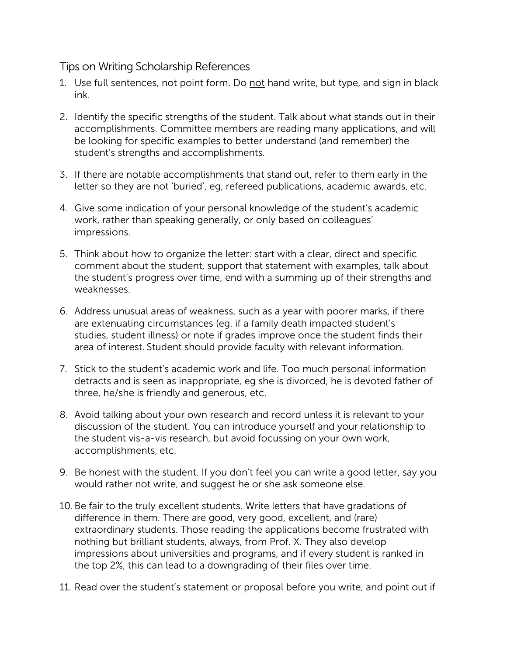## Tips on Writing Scholarship References

- 1. Use full sentences, not point form. Do not hand write, but type, and sign in black ink.
- 2. Identify the specific strengths of the student. Talk about what stands out in their accomplishments. Committee members are reading many applications, and will be looking for specific examples to better understand (and remember) the student's strengths and accomplishments.
- 3. If there are notable accomplishments that stand out, refer to them early in the letter so they are not 'buried', eg, refereed publications, academic awards, etc.
- 4. Give some indication of your personal knowledge of the student's academic work, rather than speaking generally, or only based on colleagues' impressions.
- 5. Think about how to organize the letter: start with a clear, direct and specific comment about the student, support that statement with examples, talk about the student's progress over time, end with a summing up of their strengths and weaknesses.
- 6. Address unusual areas of weakness, such as a year with poorer marks, if there are extenuating circumstances (eg. if a family death impacted student's studies, student illness) or note if grades improve once the student finds their area of interest. Student should provide faculty with relevant information.
- 7. Stick to the student's academic work and life. Too much personal information detracts and is seen as inappropriate, eg she is divorced, he is devoted father of three, he/she is friendly and generous, etc.
- 8. Avoid talking about your own research and record unless it is relevant to your discussion of the student. You can introduce yourself and your relationship to the student vis-a-vis research, but avoid focussing on your own work, accomplishments, etc.
- 9. Be honest with the student. If you don't feel you can write a good letter, say you would rather not write, and suggest he or she ask someone else.
- 10.Be fair to the truly excellent students. Write letters that have gradations of difference in them. There are good, very good, excellent, and (rare) extraordinary students. Those reading the applications become frustrated with nothing but brilliant students, always, from Prof. X. They also develop impressions about universities and programs, and if every student is ranked in the top 2%, this can lead to a downgrading of their files over time.
- 11. Read over the student's statement or proposal before you write, and point out if